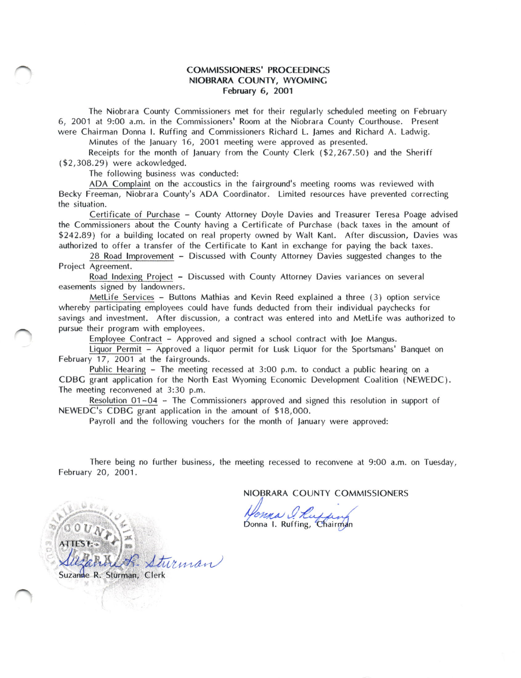## COMMISSIONERS' PROCEEDINCS NIOBRARA COUNTY, WYOMINC February 6, 2O01

The Niobrara County Commissioners met for their regularly scheduled meeting on February 6, 2001 at 9:00 a.m, in the Commissioners' Room at the Niobrara County Courthouse. Present were Chairman Donna l. Ruffing and Commissioners Richard L. James and Richard A. Ladwig.

Minutes of the January 16, 2001 meeting were approved as presented.

Receipts for the month of January from the County Clerk  $(\$2,267.50)$  and the Sheriff (\$2,308.29) were ackowledged.

The following business was conducted:

ADA Complaint on the accoustics in the fairground's meeting rooms was reviewed with Becky Freeman, Niobrara County's ADA Coordinator. Limited resources have prevented correcting the situation.

Certificate of Purchase - County Attorney Doyle Davies and Treasurer Teresa Poage advised the Commissioners about the County having a Certificate of Purchase (back taxes in the amount of \$242.89) for a building located on real property owned by Walt Kant. After discussion, Davies was authorized to offer a transfer of the Certificate to Kant in exchange for paying the back taxes.

28 Road lmprovement - Discussed with County Attorney Davies suggested changes to the Proiect Agreement.

Road lndexing Proiect - Discussed with County Attorney Davies variances on several easements signed by landowners.

Metlife Services - Buttons Mathias and Kevin Reed explained a three (3) option service whereby participating employees could have funds deducted from their individual paychecks for savings and investment. After discussion, a contract was entered into and Metlife was authorized to pursue their program with employees.

Employee Contract - Approved and signed a school contract with loe Mangus.

Liquor Permit - Approved a liquor permit for Lusk Liquor for the Sportsmans' Banquet on February 17, 2OO1 at the fairgrounds.

Public Hearing - The meeting recessed at 3:00 p.m. to conduct a public hearing on a CDBC grant application for the North East Wyoming Economic Development Coalition (NEWEDC). The meeting reconvened at 3:30 p.m.

Resolution 01-04 - The Commissioners approved and signed this resolution in support of NEWEDC's CDBG grant application in the amount of \$18,000.

Payroll and the following vouchers for the month of lanuary were approved:

There being no further business, the meeting recessed to reconvene at 9:OO a.m. on Tuesday, February 20, 2001.

NIOBRARA COUNTY COMMISSIONERS

Homma Q<br>Donna I. Ruffi

**ATTEST**  $\sqrt{t}$ Suzanne R. Sturman, Clerk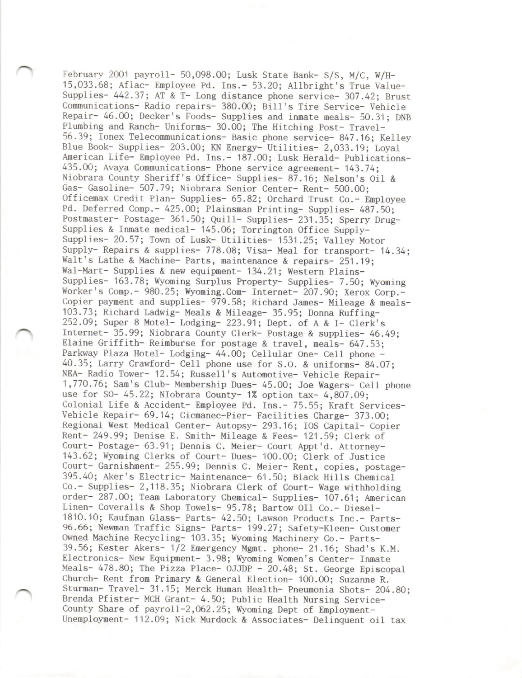February 2001 payroll- 50,098.00; Lusk State Bank- S/S, M/C, W/H-15,033.68; Aflac- Employee Pd. Ins.- 53.20; Allbright's True Vaiue-Supplies- 442.37; AT & T- Long distance phone service- 307.42; Brust Communications- Radio repairs- 380.00; Bill's Tire Service- Vehicle Repair- 46.00; Decker's Foods- Supplies and inmate meals- 50.31; DNB Plumbing and Ranch- Uniforms- 30.00; The Hitching Post- Travel-56.39; Ionex Telecommunicat ions- Basic phone service- 847.16; Keiley Blue Book- Supplies- 203.00; KN Energy- Uriliries- 2,033.19; Loyal American Life- Employee Pd. Ins.- 187.00; Lusk Herald- Publications-435.00; Avaya Communications- Phone service agreement- 143.74; Niobrara County Sheriff's Office- Supplies- 87.16; Nelson's Oi1 & Gas- Gasoline- 5O7.79; Niobrara Senior Center- Rent- 500,00; Officemax Credit Plan- Supplies- 65.82; Orchard Trust Co.- Employee Pd. Deferred Comp.- 425.00; Plainsman Printing- Supplies- 487.50; Postmaster- Postage- 361.50; Quill- Supplies- 231.35; Sperry Drug-Supplies & Inmate medical- 145.06; Torrington Office Supply-Supplies- 20.57; Town of Lusk- Utilities- 1531.25; Valley Motor Supply- Repairs & supplies- 778.08; Visa- Meal for transport- 14.34; Walt's Lathe & Machine- Parts, maintenance & repairs- 251.19; Wal-Mart- Supplies & new equipment- 134.21; Western Plains-Supplies- 163.78; Wyoming Surplus Property- Supplies- 7.50; Wyoming Worker's Comp.- 980.25; Wyoming.Com- Internet- 207.90; Xerox Corp.-Copier payment and supplies- 979.58; Richard James- Mileage & meals-103.73; Richard Ladwig- Meals & Mileage- 35.95; Donna Ruffing-252.09; Super 8 Motel- Lodging- 223.91; Dept. of A & I- Clerk's Internet- 35.99; Niobrara County Clerk- Postage & supplies- 46.49; Elaine Griffith- Reimburse for postage & travel, meals- 647.53; Parkway Plaza Hotel- Lodging- 44.00; Ce11u1ar One- Ce1l phone - 40.35; Larry Crawford- Cell phone use for S.O. & uniforms- 84.07; NEA- Radio Tower- 12.54; Russell's Automotive- Vehicle Repair-1,770.76; Sam's Club- Membership Dues- 45.00; Joe Wagers- Cell phone use for S0- 45.22; NIobrara County- 1% option tax- 4,807.09; Colonial Life & Accident- Employee Pd. Ins.- 75.55; Kraft Services-Vehicle kepair- 69.14; Cicmanec-Pier- Facilities Charge- 373.00; Regional West Medical Center- Autopsy- 293.16; IOS Capital- Copier Rent- 249.99; Denise E. Smith- Mileage & Fees- 121 .59; Clerk of Court- Postage- 63.91 ; Dennis C. Meier- Court Appt'd. Attorney-143.62; Wyoming Clerks of Court- Dues- 100.00; Clerk of Jusrice Court- Garnishnent- 255.99; Dennis C. Meier- Rent, copies, postage-395.40; Aker's Electric- Maintenance- 61.50; Black Hills Chemical Co.- Supplies- 2,118.35; Niobrara Clerk of Court- Wage withholding order- 287.00; Team Laboratory Chemical- Supplies- 107.61; American Linen- Coveralls & Shop Towels- 95.78; Bartow OIl Co.- Diesel-1810.10; Kaufman Glass- Parts- 42.50; Lawson Products Inc.- parts-96.66; Newman Traffic Signs- Parts- 199.27; Safety-K1een- Customer Owned Machine Recycling- 103.35; Wyoning Machinery Co.- Parts-39.56; Kester Akers- 1/2 Energency Mgmt. phone- 21 .16; Shad's K.M. Electronics- New Equipment- 3.98; Wyoming Women's Center- Innate Meals- 478.80; The Pizza Place- OJJDP - 20.48; St. George Episcopal Church- Rent from Primary & General Election- 100.00; Suzanne R. Sturman- Travel- 31 .15; Merck Human Health- pneumonia Shots- 204.80; Brenda Pfister- MCH Grant- 4.50; Public Health Nursing Service-County Share of payroll-2,062.25; Wyoming Dept of Employment-Unemployment- 112.09; Nick Murdock & Associates- Delinquent oil tax